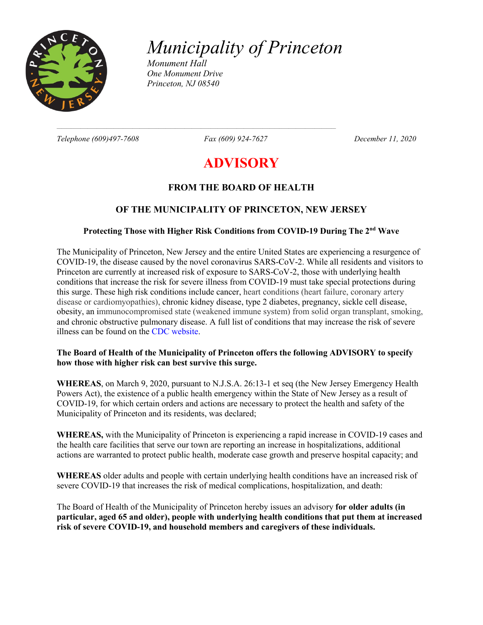

*Municipality of Princeton*

*Monument Hall One Monument Drive Princeton, NJ 08540*

 $\mathcal{L} = \{ \mathcal{L} = \{ \mathcal{L} = \{ \mathcal{L} = \{ \mathcal{L} = \{ \mathcal{L} = \{ \mathcal{L} = \{ \mathcal{L} = \{ \mathcal{L} = \{ \mathcal{L} = \{ \mathcal{L} = \{ \mathcal{L} = \{ \mathcal{L} = \{ \mathcal{L} = \{ \mathcal{L} = \{ \mathcal{L} = \{ \mathcal{L} = \{ \mathcal{L} = \{ \mathcal{L} = \{ \mathcal{L} = \{ \mathcal{L} = \{ \mathcal{L} = \{ \mathcal{L} = \{ \mathcal{L} = \{ \mathcal{$ 

*Telephone (609)497-7608 Fax (609) 924-7627 December 11, 2020*

# **ADVISORY**

## **FROM THE BOARD OF HEALTH**

## **OF THE MUNICIPALITY OF PRINCETON, NEW JERSEY**

#### **Protecting Those with Higher Risk Conditions from COVID-19 During The 2nd Wave**

The Municipality of Princeton, New Jersey and the entire United States are experiencing a resurgence of COVID-19, the disease caused by the novel coronavirus SARS-CoV-2. While all residents and visitors to Princeton are currently at increased risk of exposure to SARS-CoV-2, those with underlying health conditions that increase the risk for severe illness from COVID-19 must take special protections during this surge. These high risk conditions include cancer, heart conditions (heart failure, coronary artery disease or cardiomyopathies), chronic kidney disease, type 2 diabetes, pregnancy, sickle cell disease, obesity, an immunocompromised state (weakened immune system) from solid organ transplant, smoking, and chronic obstructive pulmonary disease. A full list of conditions that may increase the risk of severe illness can be found on the CDC website.

#### **The Board of Health of the Municipality of Princeton offers the following ADVISORY to specify how those with higher risk can best survive this surge.**

**WHEREAS**, on March 9, 2020, pursuant to N.J.S.A. 26:13-1 et seq (the New Jersey Emergency Health Powers Act), the existence of a public health emergency within the State of New Jersey as a result of COVID-19, for which certain orders and actions are necessary to protect the health and safety of the Municipality of Princeton and its residents, was declared;

**WHEREAS,** with the Municipality of Princeton is experiencing a rapid increase in COVID-19 cases and the health care facilities that serve our town are reporting an increase in hospitalizations, additional actions are warranted to protect public health, moderate case growth and preserve hospital capacity; and

**WHEREAS** older adults and people with certain underlying health conditions have an increased risk of severe COVID-19 that increases the risk of medical complications, hospitalization, and death:

The Board of Health of the Municipality of Princeton hereby issues an advisory **for older adults (in particular, aged 65 and older), people with underlying health conditions that put them at increased risk of severe COVID-19, and household members and caregivers of these individuals.**